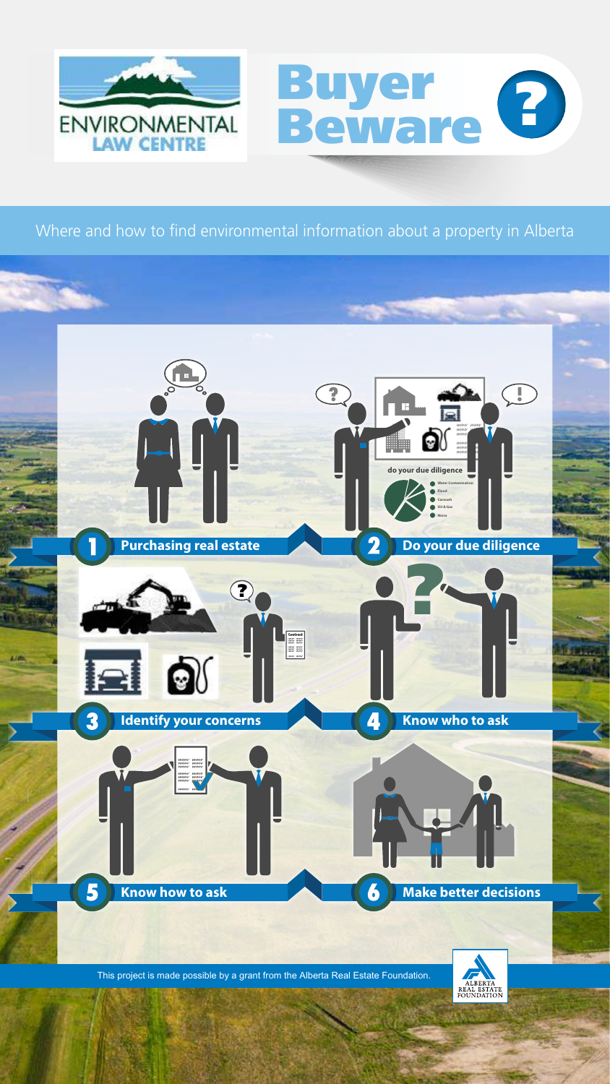

# Buyer Buyer<br>Beware <sup>8</sup>

Where and how to find environmental information about a property in Alberta

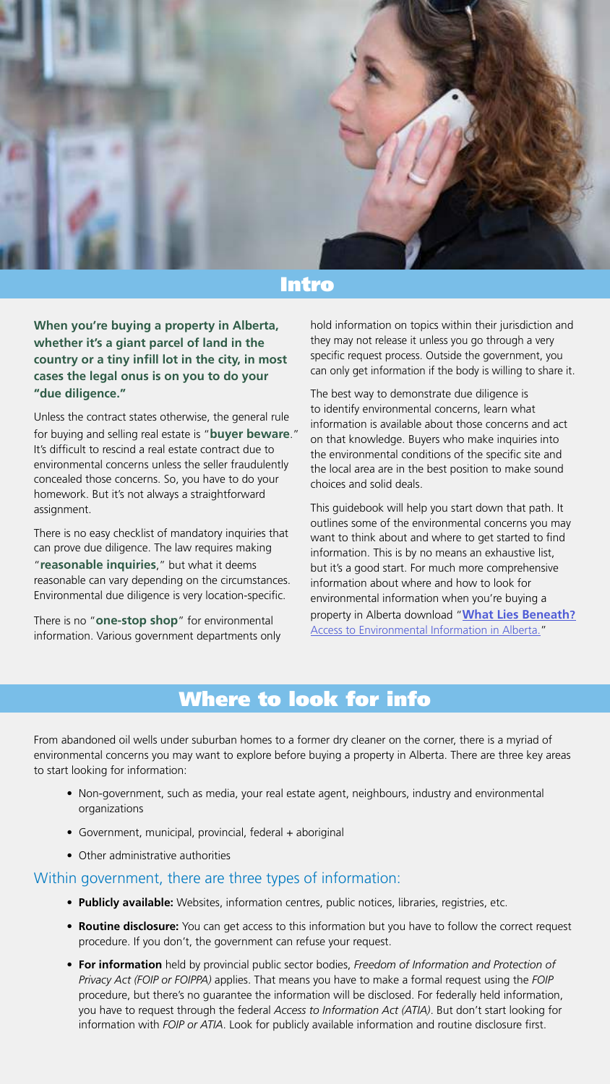**When you're buying a property in Alberta, whether it's a giant parcel of land in the country or a tiny infill lot in the city, in most cases the legal onus is on you to do your "due diligence."**

Unless the contract states otherwise, the general rule for buying and selling real estate is "**buyer beware**." It's difficult to rescind a real estate contract due to environmental concerns unless the seller fraudulently concealed those concerns. So, you have to do your homework. But it's not always a straightforward assignment.

There is no easy checklist of mandatory inquiries that can prove due diligence. The law requires making "**reasonable inquiries**," but what it deems reasonable can vary depending on the circumstances. Environmental due diligence is very location-specific.

There is no "**one-stop shop**" for environmental information. Various government departments only hold information on topics within their jurisdiction and they may not release it unless you go through a very specific request process. Outside the government, you can only get information if the body is willing to share it.

The best way to demonstrate due diligence is to identify environmental concerns, learn what information is available about those concerns and act on that knowledge. Buyers who make inquiries into the environmental conditions of the specific site and the local area are in the best position to make sound choices and solid deals.

This guidebook will help you start down that path. It outlines some of the environmental concerns you may want to think about and where to get started to find information. This is by no means an exhaustive list, but it's a good start. For much more comprehensive information about where and how to look for environmental information when you're buying a property in Alberta download "**[What Lies Beneath?](http://www.elc.ab.ca/public-participation/publications/2014/what-lies-beneath-access-to-environmental-information-in-alberta.aspx)** [Access to Environmental Information in Alberta.](http://www.elc.ab.ca/public-participation/publications/2014/what-lies-beneath-access-to-environmental-information-in-alberta.aspx)"



### Intro

### Where to look for info

From abandoned oil wells under suburban homes to a former dry cleaner on the corner, there is a myriad of environmental concerns you may want to explore before buying a property in Alberta. There are three key areas to start looking for information:

- Non-government, such as media, your real estate agent, neighbours, industry and environmental organizations
- Government, municipal, provincial, federal + aboriginal
- Other administrative authorities

### Within government, there are three types of information:

- **Publicly available:** Websites, information centres, public notices, libraries, registries, etc.
- **Routine disclosure:** You can get access to this information but you have to follow the correct request procedure. If you don't, the government can refuse your request.
- **For information** held by provincial public sector bodies, *Freedom of Information and Protection of Privacy Act (FOIP or FOIPPA)* applies. That means you have to make a formal request using the *FOIP* procedure, but there's no guarantee the information will be disclosed. For federally held information, you have to request through the federal *Access to Information Act (ATIA)*. But don't start looking for information with *FOIP or ATIA*. Look for publicly available information and routine disclosure first.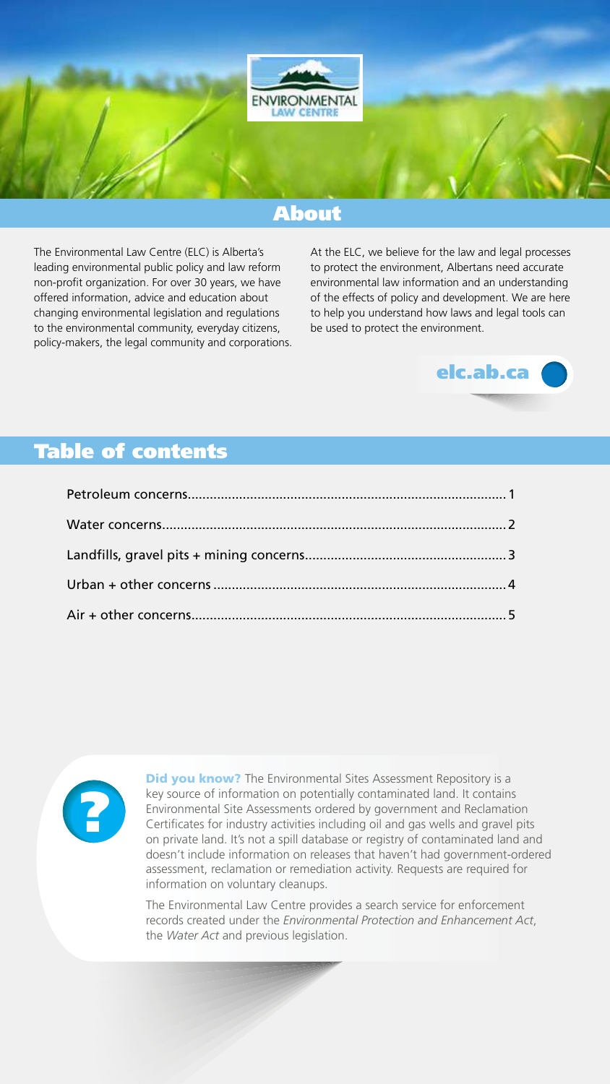The Environmental Law Centre (ELC) is Alberta's leading environmental public policy and law reform non-profit organization. For over 30 years, we have offered information, advice and education about changing environmental legislation and regulations to the environmental community, everyday citizens, policy-makers, the legal community and corporations. At the ELC, we believe for the law and legal processes to protect the environment, Albertans need accurate environmental law information and an understanding of the effects of policy and development. We are here to help you understand how laws and legal tools can be used to protect the environment.



### About



### Table of contents

**Did you know?** The Environmental Sites Assessment Repository is a key source of information on potentially contaminated land. It contains Environmental Site Assessments ordered by government and Reclamation Certificates for industry activities including oil and gas wells and gravel pits on private land. It's not a spill database or registry of contaminated land and doesn't include information on releases that haven't had government-ordered assessment, reclamation or remediation activity. Requests are required for information on voluntary cleanups.

The Environmental Law Centre provides a search service for enforcement records created under the *Environmental Protection and Enhancement Act*, the *Water Act* and previous legislation.

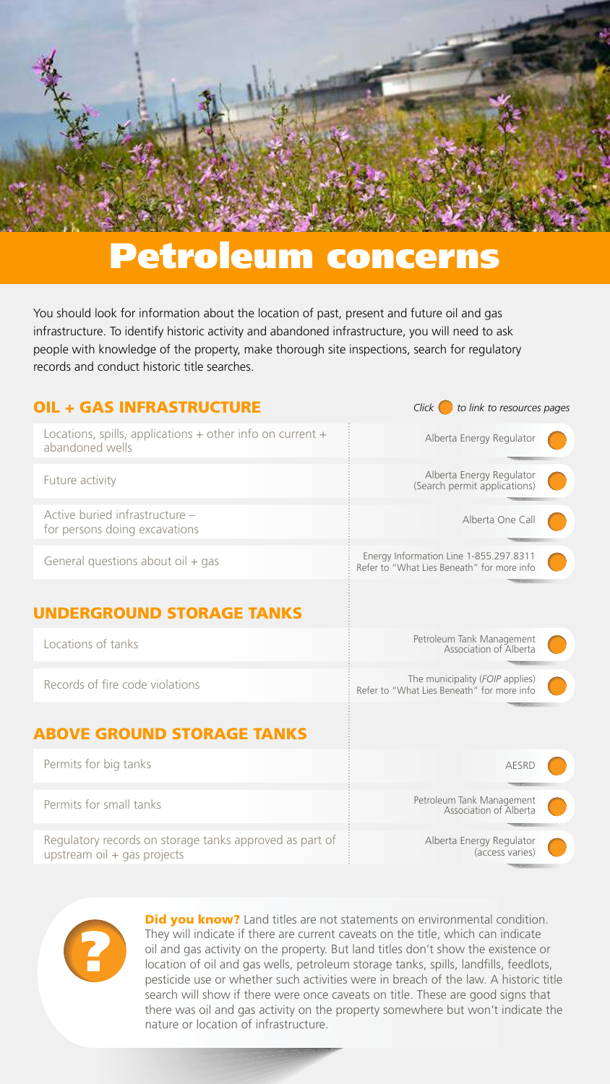Did you know? Land titles are not statements on environmental condition. They will indicate if there are current caveats on the title, which can indicate oil and gas activity on the property. But land titles don't show the existence or location of oil and gas wells, petroleum storage tanks, spills, landfills, feedlots, pesticide use or whether such activities were in breach of the law. A historic title search will show if there were once caveats on title. These are good signs that there was oil and gas activity on the property somewhere but won't indicate the nature or location of infrastructure.



| <b>OIL + GAS INFRASTRUCTURE</b>                                                  | to link to resources pages<br>Click I                                                |
|----------------------------------------------------------------------------------|--------------------------------------------------------------------------------------|
| Locations, spills, applications $+$ other info on current $+$<br>abandoned wells | Alberta Energy Regulator                                                             |
| Future activity                                                                  | Alberta Energy Regulator<br>(Search permit applications)                             |
| Active buried infrastructure -<br>for persons doing excavations                  | Alberta One Call                                                                     |
| General questions about oil + gas                                                | Energy Information Line 1-855.297.8311<br>Refer to "What Lies Beneath" for more info |
| <b>UNDERGROUND STORAGE TANKS</b>                                                 |                                                                                      |
| Locations of tanks                                                               | Petroleum Tank Management<br>Association of Alberta                                  |
| Records of fire code violations                                                  | The municipality (FOIP applies)<br>Refer to "What Lies Beneath" for more info        |
| <b>ABOVE GROUND STORAGE TANKS</b>                                                |                                                                                      |
| Permits for big tanks                                                            | <b>AESRD</b>                                                                         |
| Permits for small tanks                                                          | Petroleum Tank Management<br>Association of Alberta                                  |
| Regulatory records on storage tanks approved as part of                          | Alberta Energy Regulator                                                             |

upstream oil + gas projects

<span id="page-3-0"></span>

## Petroleum concerns

You should look for information about the location of past, present and future oil and gas infrastructure. To identify historic activity and abandoned infrastructure, you will need to ask people with knowledge of the property, make thorough site inspections, search for regulatory records and conduct historic title searches.

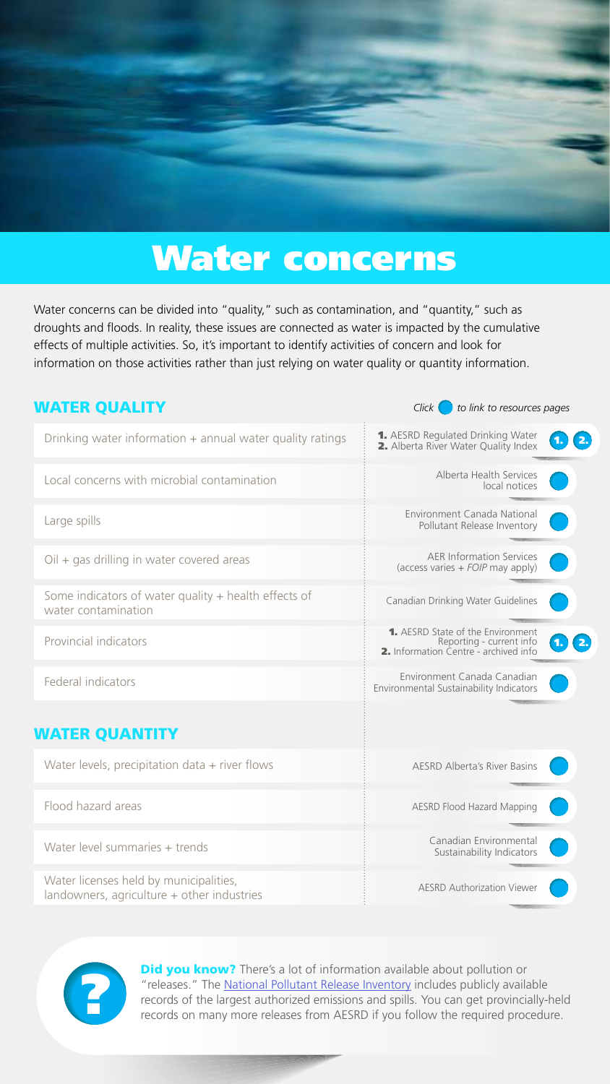**Did you know?** There's a lot of information available about pollution or "releases." The [National Pollutant Release Inventory](https://www.ec.gc.ca/inrp-npri/) includes publicly available records of the largest authorized emissions and spills. You can get provincially-held records on many more releases from AESRD if you follow the required procedure.

| <b>WATER QUALITY</b>                                                          | Click I<br>to link to resources pages                                                                         |
|-------------------------------------------------------------------------------|---------------------------------------------------------------------------------------------------------------|
| Drinking water information $+$ annual water quality ratings                   | 1. AESRD Regulated Drinking Water<br>2.<br>2. Alberta River Water Quality Index                               |
| Local concerns with microbial contamination                                   | Alberta Health Services<br>local notices                                                                      |
| Large spills                                                                  | Environment Canada National<br>Pollutant Release Inventory                                                    |
| $Oil + gas$ drilling in water covered areas                                   | <b>AER Information Services</b><br>(access varies $+$ FOIP may apply)                                         |
| Some indicators of water quality $+$ health effects of<br>water contamination | Canadian Drinking Water Guidelines                                                                            |
| Provincial indicators                                                         | <b>1.</b> AESRD State of the Environment<br>Reporting - current info<br>2. Information Centre - archived info |
| Federal indicators                                                            | Environment Canada Canadian<br>Environmental Sustainability Indicators                                        |
| <b>WATER QUANTITY</b>                                                         |                                                                                                               |
| Water levels, precipitation data $+$ river flows                              | <b>AESRD Alberta's River Basins</b>                                                                           |
| Flood hazard areas                                                            | <b>AESRD Flood Hazard Mapping</b>                                                                             |
| $\Lambda/\Lambda$ at an element of the second part of $\Lambda/\Lambda$       | Canadian Environmental                                                                                        |



Sustainability Indicators

Water level summaries + trends

Water licenses held by municipalities, landowners, agriculture + other industries

Water concerns can be divided into "quality," such as contamination, and "quantity," such as droughts and floods. In reality, these issues are connected as water is impacted by the cumulative effects of multiple activities. So, it's important to identify activities of concern and look for information on those activities rather than just relying on water quality or quantity information.



## <span id="page-4-0"></span>Water concerns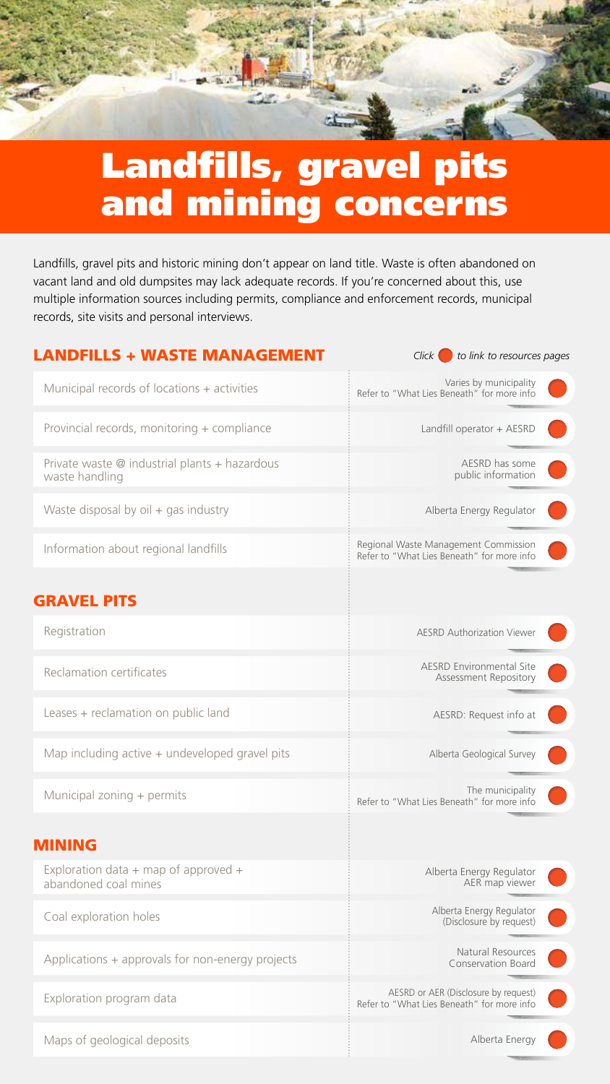### LANDFILLS + WASTE MANAGEMENT

*Click* **to link to resources pages** 



Exploration data  $+$  map of approved  $+$ abandoned coal mines

| Municipal records of locations + activities                               | Varies by municipality<br>Refer to "What Lies Beneath" for more info               |
|---------------------------------------------------------------------------|------------------------------------------------------------------------------------|
| Provincial records, monitoring + compliance                               | Landfill operator + AESRD                                                          |
| Private waste $\emptyset$ industrial plants + hazardous<br>waste handling | AESRD has some<br>public information                                               |
| Waste disposal by $oil + gas$ industry                                    | Alberta Energy Regulator                                                           |
| Information about regional landfills                                      | Regional Waste Management Commission<br>Refer to "What Lies Beneath" for more info |
| <b>GRAVEL PITS</b>                                                        |                                                                                    |
| Registration                                                              | <b>AESRD Authorization Viewer</b>                                                  |
| Reclamation certificates                                                  | <b>AESRD Environmental Site</b><br><b>Assessment Repository</b>                    |
| Leases + reclamation on public land                                       | AESRD: Request info at                                                             |
| Map including active $+$ undeveloped gravel pits                          | Alberta Geological Survey                                                          |
| Municipal zoning + permits                                                | The municipality<br>Refer to "What Lies Beneath" for more info                     |
|                                                                           |                                                                                    |

Alberta Energy Regulator AER map viewer Alberta Energy Regulator (Disclosure by request) AESRD or AER (Disclosure by request) Refer to "What Lies Beneath" for more info Natural Resources Conservation Board



Coal exploration holes

Exploration program data

Applications + approvals for non-energy projects

Maps of geological deposits

<span id="page-5-0"></span>

## Landfills, gravel pits and mining concerns

Landfills, gravel pits and historic mining don't appear on land title. Waste is often abandoned on vacant land and old dumpsites may lack adequate records. If you're concerned about this, use multiple information sources including permits, compliance and enforcement records, municipal records, site visits and personal interviews.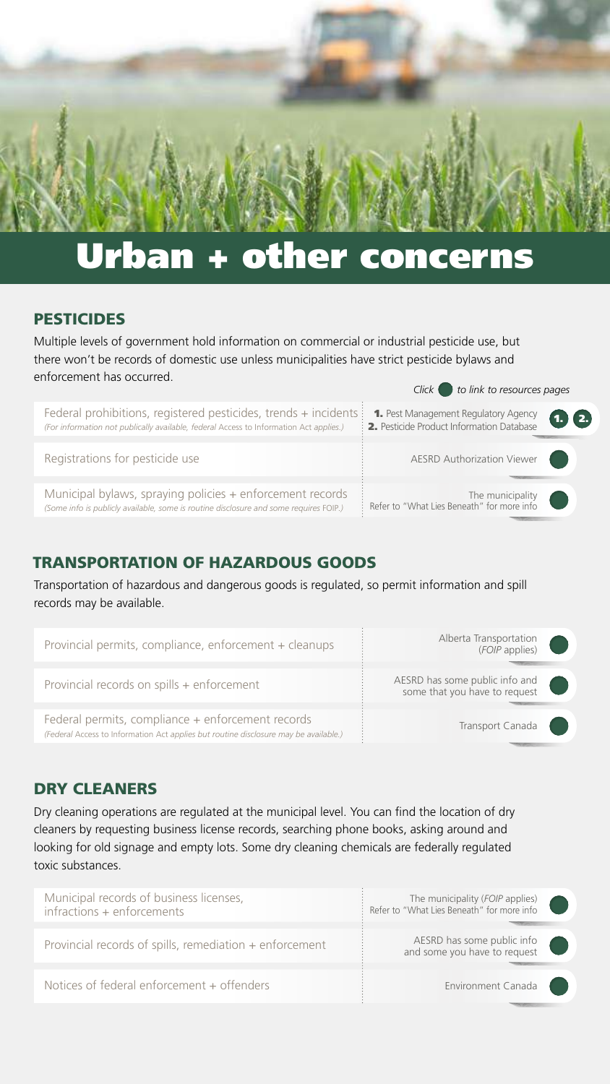### PESTICIDES

### TRANSPORTATION OF HAZARDOUS GOODS

### DRY CLEANERS

# <span id="page-6-0"></span>Urban + other concerns

Transportation of hazardous and dangerous goods is regulated, so permit information and spill records may be available.

Dry cleaning operations are regulated at the municipal level. You can find the location of dry cleaners by requesting business license records, searching phone books, asking around and looking for old signage and empty lots. Some dry cleaning chemicals are federally regulated toxic substances.

Multiple levels of government hold information on commercial or industrial pesticide use, but there won't be records of domestic use unless municipalities have strict pesticide bylaws and enforcement has occurred. *Click to link to resources pages* 

| Municipal records of business licenses,<br>infractions + enforcements | The municipality (FOIP applies)<br>: Refer to "What Lies Beneath" for more info |
|-----------------------------------------------------------------------|---------------------------------------------------------------------------------|
|                                                                       |                                                                                 |
| Provincial records of spills, remediation + enforcement               | AESRD has some public info<br>and some you have to request                      |
|                                                                       |                                                                                 |
| Notices of federal enforcement + offenders                            | Environment Canada                                                              |
|                                                                       |                                                                                 |

|                                                                                                                                                                                                         | CIICK CO IIIIN to resources pages                                        |
|---------------------------------------------------------------------------------------------------------------------------------------------------------------------------------------------------------|--------------------------------------------------------------------------|
| Federal prohibitions, registered pesticides, trends + incidents $\colon$ 1. Pest Management Regulatory Agency<br>(For information not publically available, federal Access to Information Act applies.) | $\bigoplus$ 2.<br>$\frac{1}{2}$ . Pesticide Product Information Database |
|                                                                                                                                                                                                         |                                                                          |
| Registrations for pesticide use                                                                                                                                                                         | AESRD Authorization Viewer                                               |
|                                                                                                                                                                                                         |                                                                          |
| Municipal bylaws, spraying policies + enforcement records<br>(Some info is publicly available, some is routine disclosure and some requires FOIP.)                                                      | The municipality<br>: Refer to "What Lies Beneath" for more info         |

| Provincial permits, compliance, enforcement + cleanups                                                                                    | Alberta Transportation<br>(FOIP applies)                        |  |
|-------------------------------------------------------------------------------------------------------------------------------------------|-----------------------------------------------------------------|--|
| Provincial records on spills + enforcement                                                                                                | AESRD has some public info and<br>some that you have to request |  |
| Federal permits, compliance + enforcement records<br>(Federal Access to Information Act applies but routine disclosure may be available.) | Transport Canada                                                |  |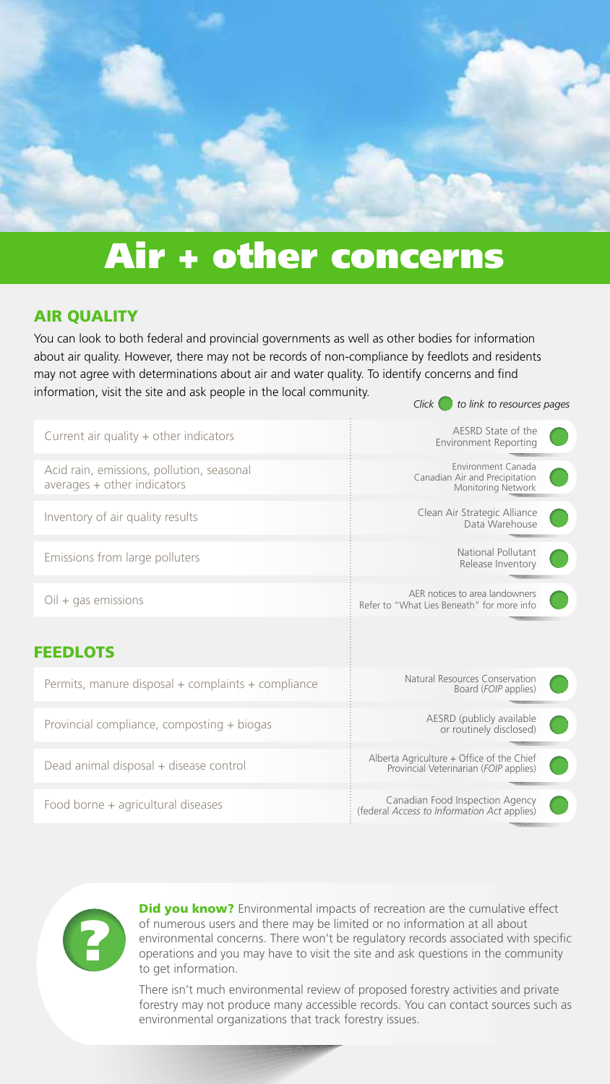### AIR QUALITY

| Current air quality $+$ other indicators                                   | AESRD State of the<br><b>Environment Reporting</b>                                  |
|----------------------------------------------------------------------------|-------------------------------------------------------------------------------------|
| Acid rain, emissions, pollution, seasonal<br>$averages + other indicators$ | Environment Canada<br>Canadian Air and Precipitation<br><b>Monitoring Network</b>   |
| Inventory of air quality results                                           | Clean Air Strategic Alliance<br>Data Warehouse                                      |
| Emissions from large polluters                                             | <b>National Pollutant</b><br>Release Inventory                                      |
| $Oil + gas$ emissions                                                      | AER notices to area landowners<br>Refer to "What Lies Beneath" for more info        |
| <b>FEEDLOTS</b>                                                            |                                                                                     |
| Permits, manure disposal + complaints + compliance                         | Natural Resources Conservation<br>Board (FOIP applies)                              |
| Provincial compliance, composting + biogas                                 | AESRD (publicly available<br>or routinely disclosed)                                |
| Dead animal disposal + disease control                                     | Alberta Agriculture + Office of the Chief<br>Provincial Veterinarian (FOIP applies) |
| Food borne + agricultural diseases                                         | Canadian Food Inspection Agency<br>(federal Access to Information Act applies)      |

You can look to both federal and provincial governments as well as other bodies for information about air quality. However, there may not be records of non-compliance by feedlots and residents may not agree with determinations about air and water quality. To identify concerns and find information, visit the site and ask people in the local community. *Click* to link to resources pages

> **Did you know?** Environmental impacts of recreation are the cumulative effect of numerous users and there may be limited or no information at all about environmental concerns. There won't be regulatory records associated with specific operations and you may have to visit the site and ask questions in the community to get information.

<span id="page-7-0"></span>

## Air + other concerns

There isn't much environmental review of proposed forestry activities and private forestry may not produce many accessible records. You can contact sources such as environmental organizations that track forestry issues.

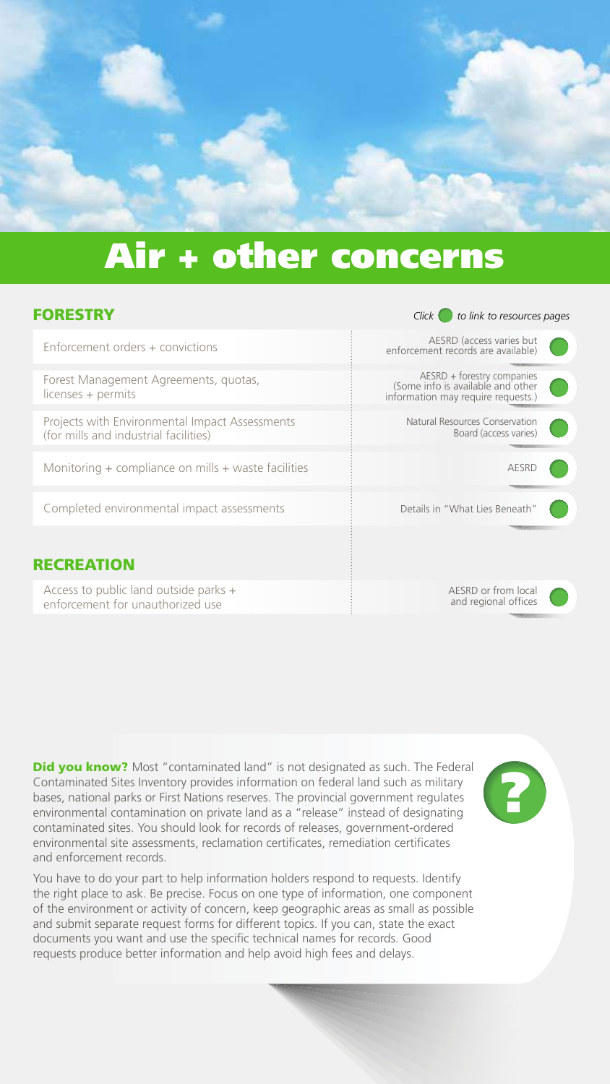### FORESTRY *Click to link to resources pages*

| Enforcement orders + convictions                                                        | AESRD (access varies but<br>enforcement records are available)                                         |
|-----------------------------------------------------------------------------------------|--------------------------------------------------------------------------------------------------------|
| Forest Management Agreements, quotas,<br>licenses + permits                             | AESRD + forestry companies<br>(Some info is available and other)<br>information may require requests.) |
| Projects with Environmental Impact Assessments<br>(for mills and industrial facilities) | Natural Resources Conservation<br>Board (access varies)                                                |
| Monitoring $+$ compliance on mills $+$ waste facilities                                 | AESRD                                                                                                  |
| Completed environmental impact assessments                                              | Details in "What Lies Beneath"                                                                         |
| <b>RECREATION</b>                                                                       |                                                                                                        |
| Access to public land outside parks +<br>enforcement for unauthorized use               | AESRD or from local<br>and regional offices                                                            |

**Did you know?** Most "contaminated land" is not designated as such. The Federal Contaminated Sites Inventory provides information on federal land such as military bases, national parks or First Nations reserves. The provincial government regulates environmental contamination on private land as a "release" instead of designating contaminated sites. You should look for records of releases, government-ordered environmental site assessments, reclamation certificates, remediation certificates

and enforcement records.

You have to do your part to help information holders respond to requests. Identify the right place to ask. Be precise. Focus on one type of information, one component of the environment or activity of concern, keep geographic areas as small as possible and submit separate request forms for different topics. If you can, state the exact documents you want and use the specific technical names for records. Good requests produce better information and help avoid high fees and delays.







## Air + other concerns